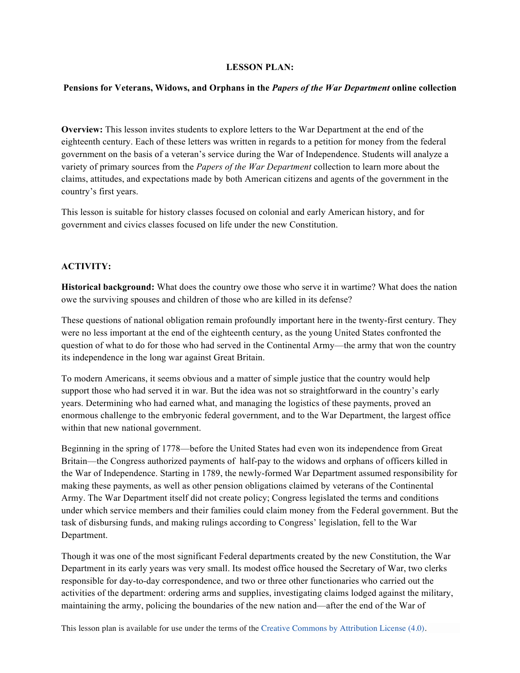# **LESSON PLAN:**

#### **Pensions for Veterans, Widows, and Orphans in the** *Papers of the War Department* **online collection**

**Overview:** This lesson invites students to explore letters to the War Department at the end of the eighteenth century. Each of these letters was written in regards to a petition for money from the federal government on the basis of a veteran's service during the War of Independence. Students will analyze a variety of primary sources from the *Papers of the War Department* collection to learn more about the claims, attitudes, and expectations made by both American citizens and agents of the government in the country's first years.

This lesson is suitable for history classes focused on colonial and early American history, and for government and civics classes focused on life under the new Constitution.

# **ACTIVITY:**

**Historical background:** What does the country owe those who serve it in wartime? What does the nation owe the surviving spouses and children of those who are killed in its defense?

These questions of national obligation remain profoundly important here in the twenty-first century. They were no less important at the end of the eighteenth century, as the young United States confronted the question of what to do for those who had served in the Continental Army—the army that won the country its independence in the long war against Great Britain.

To modern Americans, it seems obvious and a matter of simple justice that the country would help support those who had served it in war. But the idea was not so straightforward in the country's early years. Determining who had earned what, and managing the logistics of these payments, proved an enormous challenge to the embryonic federal government, and to the War Department, the largest office within that new national government.

Beginning in the spring of 1778—before the United States had even won its independence from Great Britain—the Congress authorized payments of half-pay to the widows and orphans of officers killed in the War of Independence. Starting in 1789, the newly-formed War Department assumed responsibility for making these payments, as well as other pension obligations claimed by veterans of the Continental Army. The War Department itself did not create policy; Congress legislated the terms and conditions under which service members and their families could claim money from the Federal government. But the task of disbursing funds, and making rulings according to Congress' legislation, fell to the War Department.

Though it was one of the most significant Federal departments created by the new Constitution, the War Department in its early years was very small. Its modest office housed the Secretary of War, two clerks responsible for day-to-day correspondence, and two or three other functionaries who carried out the activities of the department: ordering arms and supplies, investigating claims lodged against the military, maintaining the army, policing the boundaries of the new nation and—after the end of the War of

This lesson plan is available for use under the terms of the Creative Commons by Attribution License (4.0).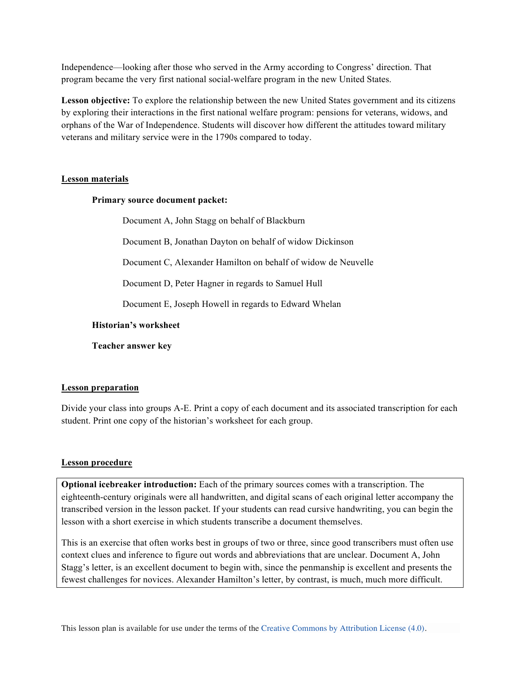Independence—looking after those who served in the Army according to Congress' direction. That program became the very first national social-welfare program in the new United States.

**Lesson objective:** To explore the relationship between the new United States government and its citizens by exploring their interactions in the first national welfare program: pensions for veterans, widows, and orphans of the War of Independence. Students will discover how different the attitudes toward military veterans and military service were in the 1790s compared to today.

### **Lesson materials**

### **Primary source document packet:**

Document A, John Stagg on behalf of Blackburn

Document B, Jonathan Dayton on behalf of widow Dickinson

Document C, Alexander Hamilton on behalf of widow de Neuvelle

Document D, Peter Hagner in regards to Samuel Hull

Document E, Joseph Howell in regards to Edward Whelan

### **Historian's worksheet**

**Teacher answer key**

# **Lesson preparation**

Divide your class into groups A-E. Print a copy of each document and its associated transcription for each student. Print one copy of the historian's worksheet for each group.

# **Lesson procedure**

**Optional icebreaker introduction:** Each of the primary sources comes with a transcription. The eighteenth-century originals were all handwritten, and digital scans of each original letter accompany the transcribed version in the lesson packet. If your students can read cursive handwriting, you can begin the lesson with a short exercise in which students transcribe a document themselves.

This is an exercise that often works best in groups of two or three, since good transcribers must often use context clues and inference to figure out words and abbreviations that are unclear. Document A, John Stagg's letter, is an excellent document to begin with, since the penmanship is excellent and presents the fewest challenges for novices. Alexander Hamilton's letter, by contrast, is much, much more difficult.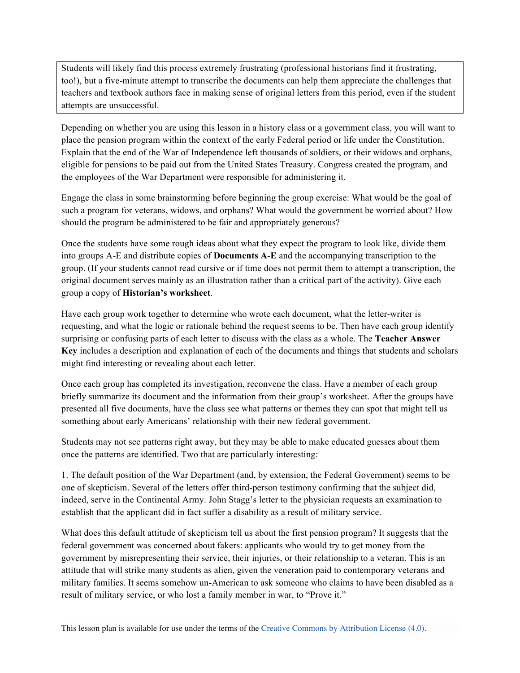Students will likely find this process extremely frustrating (professional historians find it frustrating, too!), but a five-minute attempt to transcribe the documents can help them appreciate the challenges that teachers and textbook authors face in making sense of original letters from this period, even if the student attempts are unsuccessful.

Depending on whether you are using this lesson in a history class or a government class, you will want to place the pension program within the context of the early Federal period or life under the Constitution. Explain that the end of the War of Independence left thousands of soldiers, or their widows and orphans, eligible for pensions to be paid out from the United States Treasury. Congress created the program, and the employees of the War Department were responsible for administering it.

Engage the class in some brainstorming before beginning the group exercise: What would be the goal of such a program for veterans, widows, and orphans? What would the government be worried about? How should the program be administered to be fair and appropriately generous?

Once the students have some rough ideas about what they expect the program to look like, divide them into groups A-E and distribute copies of **Documents A-E** and the accompanying transcription to the group. (If your students cannot read cursive or if time does not permit them to attempt a transcription, the original document serves mainly as an illustration rather than a critical part of the activity). Give each group a copy of **Historian's worksheet**.

Have each group work together to determine who wrote each document, what the letter-writer is requesting, and what the logic or rationale behind the request seems to be. Then have each group identify surprising or confusing parts of each letter to discuss with the class as a whole. The **Teacher Answer Key** includes a description and explanation of each of the documents and things that students and scholars might find interesting or revealing about each letter.

Once each group has completed its investigation, reconvene the class. Have a member of each group briefly summarize its document and the information from their group's worksheet. After the groups have presented all five documents, have the class see what patterns or themes they can spot that might tell us something about early Americans' relationship with their new federal government.

Students may not see patterns right away, but they may be able to make educated guesses about them once the patterns are identified. Two that are particularly interesting:

1. The default position of the War Department (and, by extension, the Federal Government) seems to be one of skepticism. Several of the letters offer third-person testimony confirming that the subject did, indeed, serve in the Continental Army. John Stagg's letter to the physician requests an examination to establish that the applicant did in fact suffer a disability as a result of military service.

What does this default attitude of skepticism tell us about the first pension program? It suggests that the federal government was concerned about fakers: applicants who would try to get money from the government by misrepresenting their service, their injuries, or their relationship to a veteran. This is an attitude that will strike many students as alien, given the veneration paid to contemporary veterans and military families. It seems somehow un-American to ask someone who claims to have been disabled as a result of military service, or who lost a family member in war, to "Prove it."